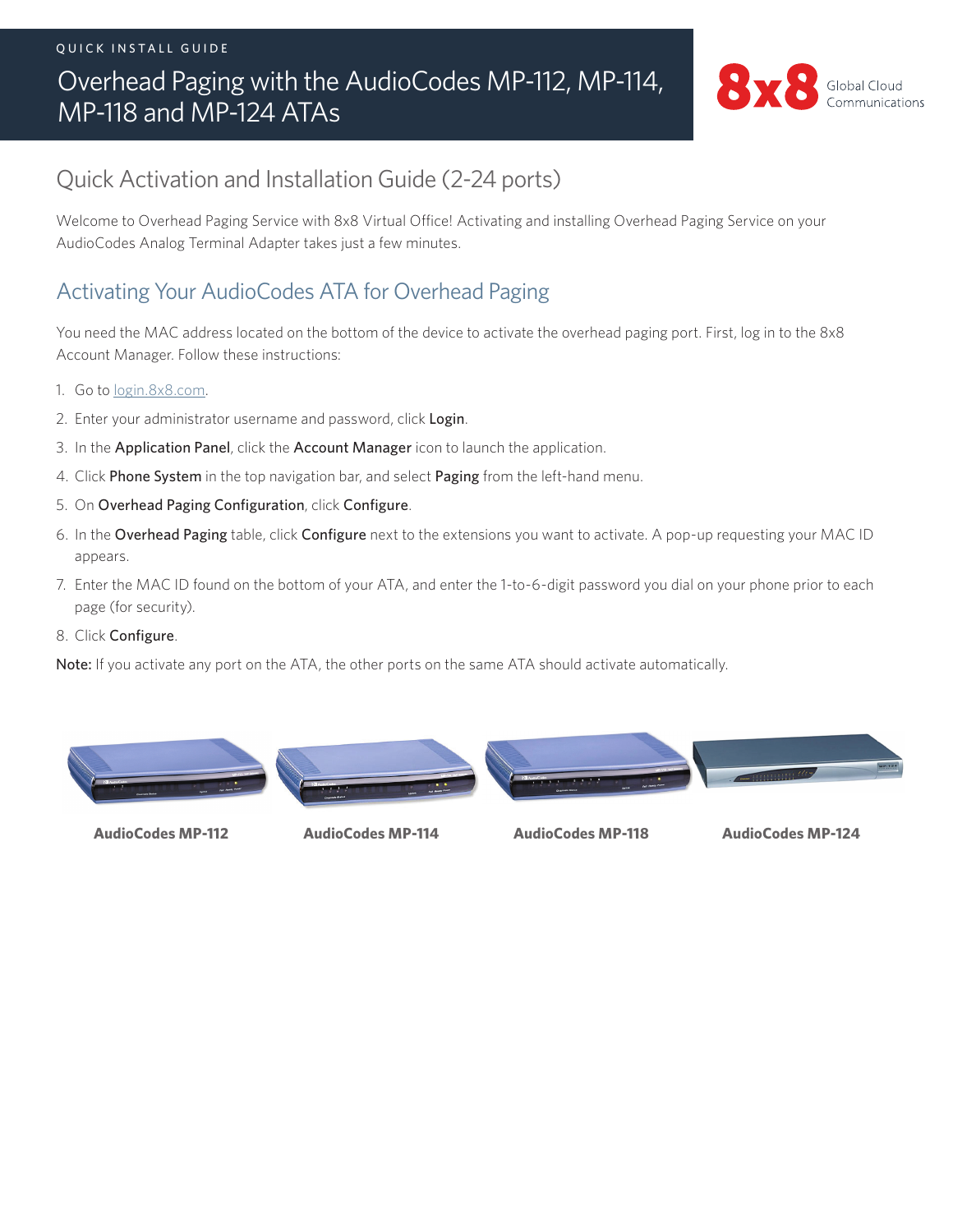#### QUICK INSTALL GUIDE

# Overhead Paging with the AudioCodes MP-112, MP-114, MP-118 and MP-124 ATAs



# Quick Activation and Installation Guide (2-24 ports)

Welcome to Overhead Paging Service with 8x8 Virtual Office! Activating and installing Overhead Paging Service on your AudioCodes Analog Terminal Adapter takes just a few minutes.

### Activating Your AudioCodes ATA for Overhead Paging

You need the MAC address located on the bottom of the device to activate the overhead paging port. First, log in to the 8x8 Account Manager. Follow these instructions:

- 1. Go to [login.8x8.com.](https://login.8x8.com./sso/login)
- 2. Enter your administrator username and password, click Login.
- 3. In the Application Panel, click the Account Manager icon to launch the application.
- 4. Click Phone System in the top navigation bar, and select Paging from the left-hand menu.
- 5. On Overhead Paging Configuration, click Configure.
- 6. In the Overhead Paging table, click Configure next to the extensions you want to activate. A pop-up requesting your MAC ID appears.
- 7. Enter the MAC ID found on the bottom of your ATA, and enter the 1-to-6-digit password you dial on your phone prior to each page (for security).
- 8. Click Configure.

Note: If you activate any port on the ATA, the other ports on the same ATA should activate automatically.



**AudioCodes MP-112 AudioCodes MP-114 AudioCodes MP-118 AudioCodes MP-124**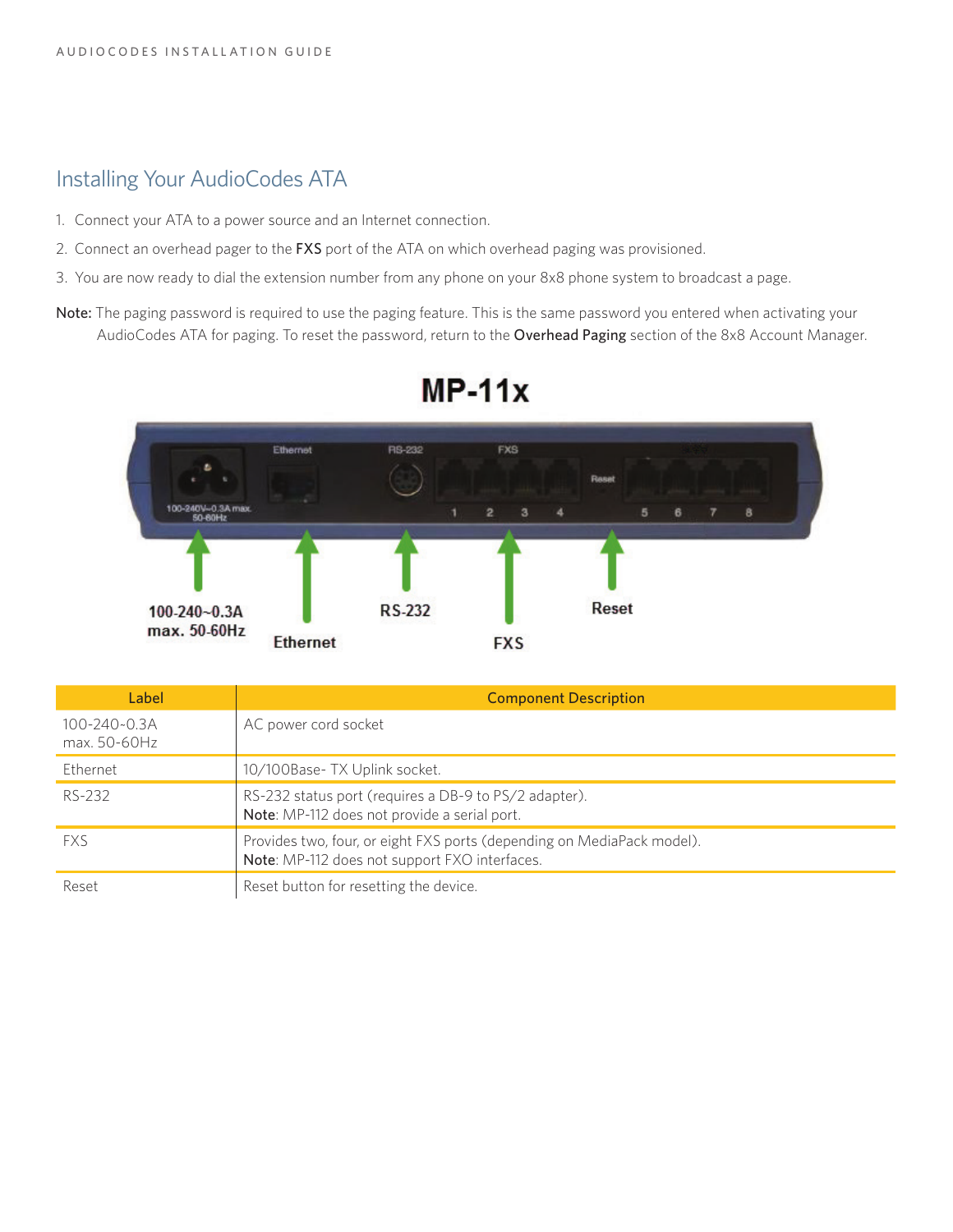#### Installing Your AudioCodes ATA

- 1. Connect your ATA to a power source and an Internet connection.
- 2. Connect an overhead pager to the FXS port of the ATA on which overhead paging was provisioned.
- 3. You are now ready to dial the extension number from any phone on your 8x8 phone system to broadcast a page.
- Note: The paging password is required to use the paging feature. This is the same password you entered when activating your AudioCodes ATA for paging. To reset the password, return to the Overhead Paging section of the 8x8 Account Manager.



# $MP-11x$

| Label                              | <b>Component Description</b>                                                                                            |
|------------------------------------|-------------------------------------------------------------------------------------------------------------------------|
| $100 - 240 - 0.3A$<br>max. 50-60Hz | AC power cord socket                                                                                                    |
| Ethernet                           | 10/100Base- TX Uplink socket.                                                                                           |
| RS-232                             | RS-232 status port (requires a DB-9 to PS/2 adapter).<br>Note: MP-112 does not provide a serial port.                   |
| <b>FXS</b>                         | Provides two, four, or eight FXS ports (depending on MediaPack model).<br>Note: MP-112 does not support FXO interfaces. |
| Reset                              | Reset button for resetting the device.                                                                                  |